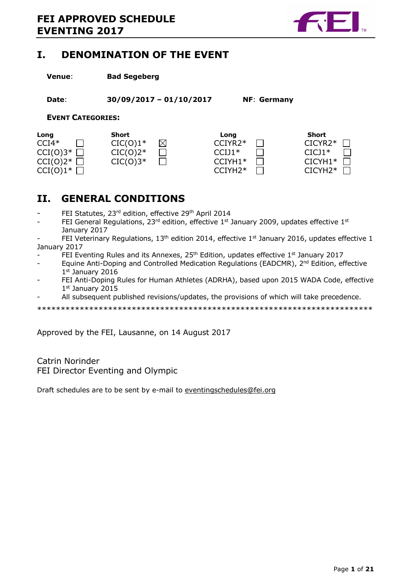

# **I. DENOMINATION OF THE EVENT**

**Venue**: **Bad Segeberg** 

**Date**: **30/09/2017 – 01/10/2017 NF**: **Germany** 

**EVENT CATEGORIES:** 

| Long                    | Short      |             | Long      | Short            |
|-------------------------|------------|-------------|-----------|------------------|
| $CCI4*$                 | $CIC(0)1*$ | $\boxtimes$ | CCIYR2*   | $CICYR2*$        |
| $CCI(0)3^{\ast}$ $\Box$ | $CIC(0)2*$ |             | $CCIJ1*$  | $CICI1*$         |
| $CCI(0)2^{\ast}$        | $CIC(0)3*$ |             | $CCIYH1*$ | $CICYH1*$ $\Box$ |
| $CCI(0)1^{\ast}$        |            |             | $CCIYH2*$ | $CICYH2*$ $\Box$ |

# **II. GENERAL CONDITIONS**

- FEI Statutes, 23<sup>rd</sup> edition, effective 29<sup>th</sup> April 2014
- FEI General Regulations,  $23^{rd}$  edition, effective  $1^{st}$  January 2009, updates effective  $1^{st}$ January 2017

FEI Veterinary Regulations, 13<sup>th</sup> edition 2014, effective 1st January 2016, updates effective 1 January 2017

- FEI Eventing Rules and its Annexes,  $25<sup>th</sup>$  Edition, updates effective  $1<sup>st</sup>$  January 2017
- Equine Anti-Doping and Controlled Medication Regulations (EADCMR), 2<sup>nd</sup> Edition, effective 1 st January 2016
- FEI Anti-Doping Rules for Human Athletes (ADRHA), based upon 2015 WADA Code, effective 1 st January 2015
- All subsequent published revisions/updates, the provisions of which will take precedence.

\*\*\*\*\*\*\*\*\*\*\*\*\*\*\*\*\*\*\*\*\*\*\*\*\*\*\*\*\*\*\*\*\*\*\*\*\*\*\*\*\*\*\*\*\*\*\*\*\*\*\*\*\*\*\*\*\*\*\*\*\*\*\*\*\*\*\*\*\*\*\*

Approved by the FEI, Lausanne, on 14 August 2017

Catrin Norinder FEI Director Eventing and Olympic

Draft schedules are to be sent by e-mail to eventingschedules@fei.org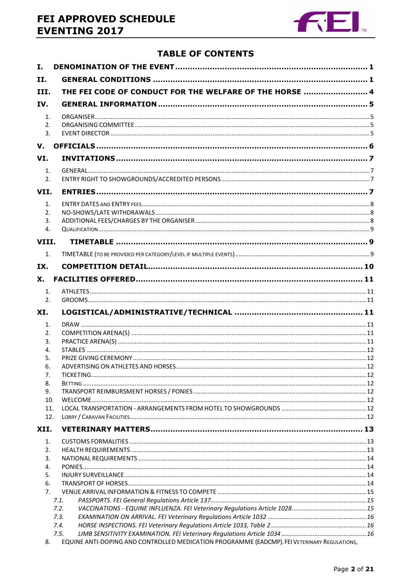# FEI APPROVED SCHEDULE **EVENTING 2017**



## **TABLE OF CONTENTS**

| I.             |                                                         |  |
|----------------|---------------------------------------------------------|--|
| II.            |                                                         |  |
| III.           | THE FEI CODE OF CONDUCT FOR THE WELFARE OF THE HORSE  4 |  |
| IV.            |                                                         |  |
|                |                                                         |  |
| $\mathbf{1}$ . |                                                         |  |
| 2.<br>3.       |                                                         |  |
|                |                                                         |  |
| V.             |                                                         |  |
| VI.            |                                                         |  |
| $\mathbf{1}$ . |                                                         |  |
| 2.             |                                                         |  |
| VII.           |                                                         |  |
| $\mathbf{1}$ . |                                                         |  |
| 2.             |                                                         |  |
| 3.             |                                                         |  |
| 4.             |                                                         |  |
| VIII.          |                                                         |  |
|                |                                                         |  |
| 1.             |                                                         |  |
| IX.            |                                                         |  |
| Х.             |                                                         |  |
| 1.             |                                                         |  |
|                |                                                         |  |
| 2.             |                                                         |  |
|                |                                                         |  |
| XI.            |                                                         |  |
| 1.             |                                                         |  |
| 2.             |                                                         |  |
| 3.<br>4.       |                                                         |  |
| 5.             |                                                         |  |
| 6.             |                                                         |  |
| 7.             |                                                         |  |
| 8.             |                                                         |  |
| 9.             |                                                         |  |
| 10.            |                                                         |  |
| 11.<br>12.     |                                                         |  |
|                |                                                         |  |
| XII.           |                                                         |  |
| $\mathbf{1}$ . |                                                         |  |
| 2.             |                                                         |  |
| 3.<br>4.       |                                                         |  |
| 5.             |                                                         |  |
| 6.             |                                                         |  |
| 7.             |                                                         |  |
|                | 7.1.                                                    |  |
|                | 7.2.                                                    |  |
|                | 7.3.                                                    |  |
|                | 7.4.<br>7.5.                                            |  |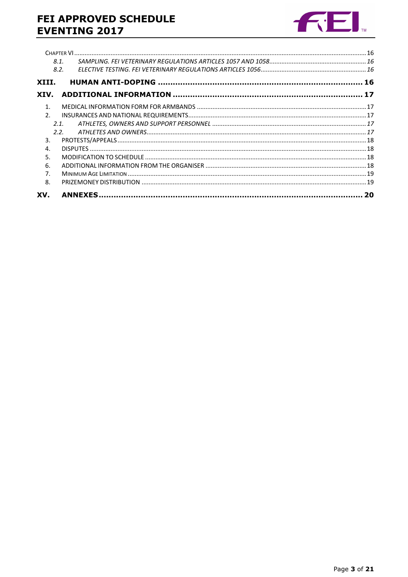# FEI APPROVED SCHEDULE **EVENTING 2017**



|                | 8.1. |  |
|----------------|------|--|
|                | 8.2. |  |
| XIII.          |      |  |
| XIV.           |      |  |
| $\mathbf{1}$   |      |  |
| $\mathcal{P}$  |      |  |
|                | 2.1  |  |
|                | 2.2. |  |
| 3.             |      |  |
| 4.             |      |  |
| 5.             |      |  |
| 6.             |      |  |
| 7 <sub>1</sub> |      |  |
| 8.             |      |  |
| XV.            |      |  |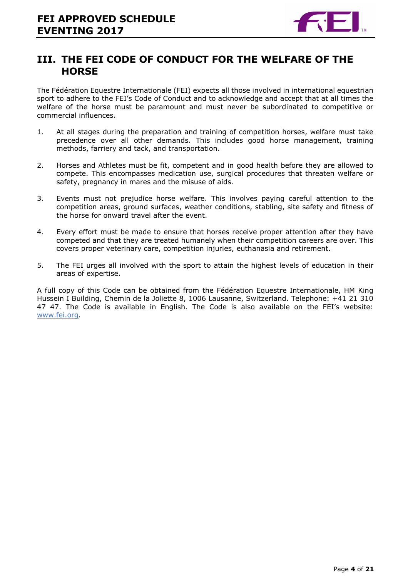

## **III. THE FEI CODE OF CONDUCT FOR THE WELFARE OF THE HORSE**

The Fédération Equestre Internationale (FEI) expects all those involved in international equestrian sport to adhere to the FEI's Code of Conduct and to acknowledge and accept that at all times the welfare of the horse must be paramount and must never be subordinated to competitive or commercial influences.

- 1. At all stages during the preparation and training of competition horses, welfare must take precedence over all other demands. This includes good horse management, training methods, farriery and tack, and transportation.
- 2. Horses and Athletes must be fit, competent and in good health before they are allowed to compete. This encompasses medication use, surgical procedures that threaten welfare or safety, pregnancy in mares and the misuse of aids.
- 3. Events must not prejudice horse welfare. This involves paying careful attention to the competition areas, ground surfaces, weather conditions, stabling, site safety and fitness of the horse for onward travel after the event.
- 4. Every effort must be made to ensure that horses receive proper attention after they have competed and that they are treated humanely when their competition careers are over. This covers proper veterinary care, competition injuries, euthanasia and retirement.
- 5. The FEI urges all involved with the sport to attain the highest levels of education in their areas of expertise.

A full copy of this Code can be obtained from the Fédération Equestre Internationale, HM King Hussein I Building, Chemin de la Joliette 8, 1006 Lausanne, Switzerland. Telephone: +41 21 310 47 47. The Code is available in English. The Code is also available on the FEI's website: www.fei.org.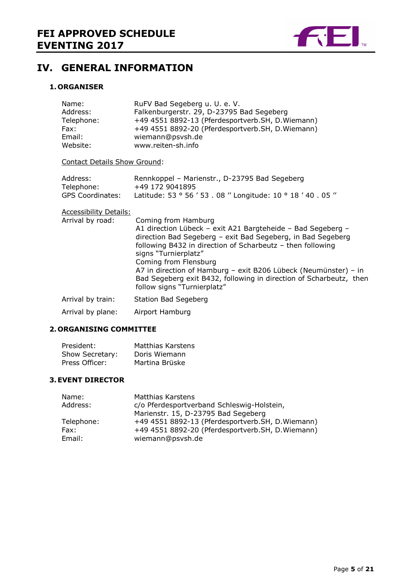

# **IV. GENERAL INFORMATION**

#### **1. ORGANISER**

| Name:<br>Address:<br>Telephone:<br>Fax:<br>Email:<br>Website: | RuFV Bad Segeberg u. U. e. V.<br>Falkenburgerstr. 29, D-23795 Bad Segeberg<br>+49 4551 8892-13 (Pferdesportverb.SH, D. Wiemann)<br>+49 4551 8892-20 (Pferdesportverb.SH, D. Wiemann)<br>wiemann@psvsh.de<br>www.reiten-sh.info                                                                                                                                                                            |
|---------------------------------------------------------------|-----------------------------------------------------------------------------------------------------------------------------------------------------------------------------------------------------------------------------------------------------------------------------------------------------------------------------------------------------------------------------------------------------------|
| <b>Contact Details Show Ground:</b>                           |                                                                                                                                                                                                                                                                                                                                                                                                           |
| Address:<br>Telephone:<br><b>GPS Coordinates:</b>             | Rennkoppel - Marienstr., D-23795 Bad Segeberg<br>+49 172 9041895<br>Latitude: 53 ° 56 ' 53 . 08 " Longitude: 10 ° 18 ' 40 . 05 "                                                                                                                                                                                                                                                                          |
| <b>Accessibility Details:</b>                                 |                                                                                                                                                                                                                                                                                                                                                                                                           |
| Arrival by road:                                              | Coming from Hamburg<br>A1 direction Lübeck - exit A21 Bargteheide - Bad Segeberg -<br>direction Bad Segeberg - exit Bad Segeberg, in Bad Segeberg<br>following B432 in direction of Scharbeutz - then following<br>signs "Turnierplatz"<br>Coming from Flensburg<br>A7 in direction of Hamburg - exit B206 Lübeck (Neumünster) - in<br>Bad Segeberg exit B432, following in direction of Scharbeutz, then |
|                                                               | follow signs "Turnierplatz"                                                                                                                                                                                                                                                                                                                                                                               |
| Arrival by train:                                             | <b>Station Bad Segeberg</b>                                                                                                                                                                                                                                                                                                                                                                               |
| Arrival by plane:                                             | Airport Hamburg                                                                                                                                                                                                                                                                                                                                                                                           |

#### **2. ORGANISING COMMITTEE**

| President:      | Matthias Karstens |
|-----------------|-------------------|
| Show Secretary: | Doris Wiemann     |
| Press Officer:  | Martina Brüske    |

## **3.EVENT DIRECTOR**

| Name:      | <b>Matthias Karstens</b>                          |
|------------|---------------------------------------------------|
| Address:   | c/o Pferdesportverband Schleswig-Holstein,        |
|            | Marienstr. 15, D-23795 Bad Segeberg               |
| Telephone: | +49 4551 8892-13 (Pferdesportverb.SH, D. Wiemann) |
| Fax:       | +49 4551 8892-20 (Pferdesportverb.SH, D. Wiemann) |
| Email:     | wiemann@psvsh.de                                  |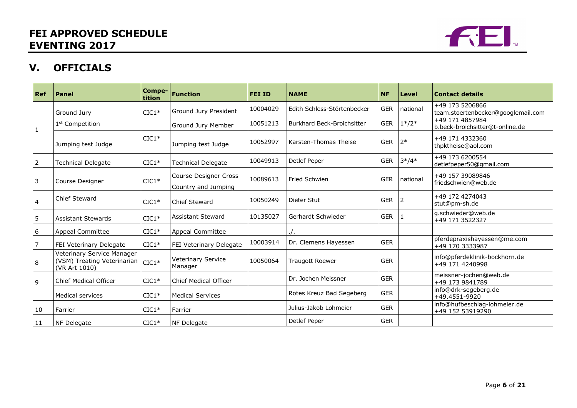

# **V. OFFICIALS**

| Ref | Panel                                                                      | Compe-<br>tition | <b>Function</b>                                     | <b>FEI ID</b> | <b>NAME</b>                       | <b>NF</b>  | Level    | <b>Contact details</b>                                |
|-----|----------------------------------------------------------------------------|------------------|-----------------------------------------------------|---------------|-----------------------------------|------------|----------|-------------------------------------------------------|
|     | Ground Jury                                                                | $CIC1*$          | Ground Jury President                               | 10004029      | Edith Schless-Störtenbecker       | <b>GER</b> | national | +49 173 5206866<br>team.stoertenbecker@googlemail.com |
|     | 1 <sup>st</sup> Competition                                                |                  | Ground Jury Member                                  | 10051213      | <b>Burkhard Beck-Broichsitter</b> | <b>GER</b> | $1*/2*$  | +49 171 4857984<br>b.beck-broichsitter@t-online.de    |
|     | Jumping test Judge                                                         | $CIC1*$          | Jumping test Judge                                  | 10052997      | Karsten-Thomas Theise             | <b>GER</b> | $2*$     | +49 171 4332360<br>thpktheise@aol.com                 |
| 2   | <b>Technical Delegate</b>                                                  | $CIC1*$          | <b>Technical Delegate</b>                           | 10049913      | Detlef Peper                      | <b>GER</b> | $3*/4*$  | +49 173 6200554<br>detlefpeper50@gmail.com            |
| 3   | Course Designer                                                            | $CIC1*$          | <b>Course Designer Cross</b><br>Country and Jumping | 10089613      | <b>Fried Schwien</b>              | <b>GER</b> | national | +49 157 39089846<br>friedschwien@web.de               |
| 4   | <b>Chief Steward</b>                                                       | $CIC1*$          | Chief Steward                                       | 10050249      | Dieter Stut                       | <b>GER</b> | 2        | +49 172 4274043<br>stut@pm-sh.de                      |
| 5   | <b>Assistant Stewards</b>                                                  | $CIC1*$          | <b>Assistant Steward</b>                            | 10135027      | Gerhardt Schwieder                | <b>GER</b> | 1        | g.schwieder@web.de<br>+49 171 3522327                 |
| 6   | <b>Appeal Committee</b>                                                    | $CIC1*$          | <b>Appeal Committee</b>                             |               |                                   |            |          |                                                       |
|     | FEI Veterinary Delegate                                                    | $CIC1*$          | FEI Veterinary Delegate                             | 10003914      | Dr. Clemens Hayessen              | <b>GER</b> |          | pferdepraxishayessen@me.com<br>+49 170 3333987        |
| 8   | Veterinary Service Manager<br>(VSM) Treating Veterinarian<br>(VR Art 1010) | $CIC1*$          | Veterinary Service<br>Manager                       | 10050064      | <b>Traugott Roewer</b>            | <b>GER</b> |          | info@pferdeklinik-bockhorn.de<br>+49 171 4240998      |
| 9   | <b>Chief Medical Officer</b>                                               | $CIC1*$          | <b>Chief Medical Officer</b>                        |               | Dr. Jochen Meissner               | <b>GER</b> |          | meissner-jochen@web.de<br>+49 173 9841789             |
|     | Medical services                                                           | $CIC1*$          | <b>Medical Services</b>                             |               | Rotes Kreuz Bad Segeberg          | <b>GER</b> |          | info@drk-segeberg.de<br>+49.4551-9920                 |
| 10  | Farrier                                                                    | $CIC1*$          | Farrier                                             |               | Julius-Jakob Lohmeier             | <b>GER</b> |          | info@hufbeschlag-lohmeier.de<br>+49 152 53919290      |
| 11  | NF Delegate                                                                | $CIC1*$          | NF Delegate                                         |               | Detlef Peper                      | <b>GER</b> |          |                                                       |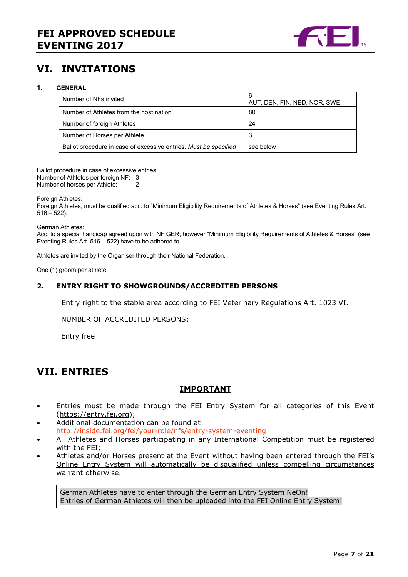

# **VI. INVITATIONS**

#### **1. GENERAL**

| Number of NFs invited                                            | 6<br>AUT, DEN, FIN, NED, NOR, SWE |  |
|------------------------------------------------------------------|-----------------------------------|--|
| Number of Athletes from the host nation                          | 80                                |  |
| Number of foreign Athletes                                       | 24                                |  |
| Number of Horses per Athlete                                     | 3                                 |  |
| Ballot procedure in case of excessive entries. Must be specified | see below                         |  |

Ballot procedure in case of excessive entries: Number of Athletes per foreign NF: 3 Number of horses per Athlete:

Foreign Athletes:

Foreign Athletes, must be qualified acc. to "Minimum Eligibility Requirements of Athletes & Horses" (see Eventing Rules Art.  $516 - 522$ ).

German Athletes:

Acc. to a special handicap agreed upon with NF GER; however "Minimum Eligibility Requirements of Athletes & Horses" (see Eventing Rules Art. 516 – 522) have to be adhered to.

Athletes are invited by the Organiser through their National Federation.

One (1) groom per athlete.

#### **2. ENTRY RIGHT TO SHOWGROUNDS/ACCREDITED PERSONS**

Entry right to the stable area according to FEI Veterinary Regulations Art. 1023 VI.

NUMBER OF ACCREDITED PERSONS:

Entry free

## **VII. ENTRIES**

#### **IMPORTANT**

- Entries must be made through the FEI Entry System for all categories of this Event (https://entry.fei.org);
- Additional documentation can be found at: http://inside.fei.org/fei/your-role/nfs/entry-system-eventing
- All Athletes and Horses participating in any International Competition must be registered with the FEI;
- Athletes and/or Horses present at the Event without having been entered through the FEI's Online Entry System will automatically be disqualified unless compelling circumstances warrant otherwise.

German Athletes have to enter through the German Entry System NeOn! Entries of German Athletes will then be uploaded into the FEI Online Entry System!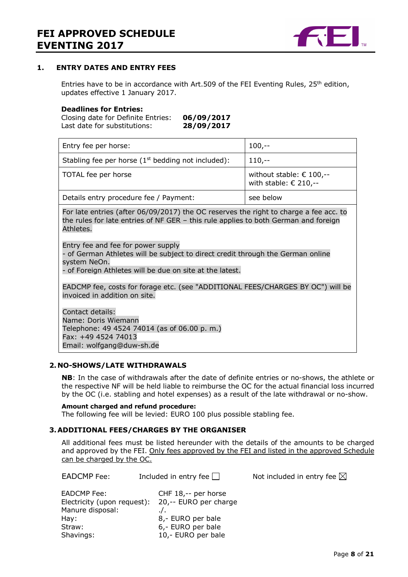

#### **1. ENTRY DATES AND ENTRY FEES**

Entries have to be in accordance with Art.509 of the FEI Eventing Rules,  $25<sup>th</sup>$  edition, updates effective 1 January 2017.

#### **Deadlines for Entries:**

Closing date for Definite Entries: **06/09/2017** Last date for substitutions: **28/09/2017**

| Entry fee per horse:                                                                                                                                                                                                                                                                                                                                                                         | $100, -$                                                            |  |
|----------------------------------------------------------------------------------------------------------------------------------------------------------------------------------------------------------------------------------------------------------------------------------------------------------------------------------------------------------------------------------------------|---------------------------------------------------------------------|--|
| Stabling fee per horse $(1st$ bedding not included):                                                                                                                                                                                                                                                                                                                                         | $110,-$                                                             |  |
| TOTAL fee per horse                                                                                                                                                                                                                                                                                                                                                                          | without stable: $\epsilon$ 100,--<br>with stable: $\epsilon$ 210,-- |  |
| Details entry procedure fee / Payment:                                                                                                                                                                                                                                                                                                                                                       | see below                                                           |  |
| For late entries (after 06/09/2017) the OC reserves the right to charge a fee acc. to<br>the rules for late entries of NF GER - this rule applies to both German and foreign<br>Athletes.<br>Entry fee and fee for power supply<br>of German Athletes will be subject to direct credit through the German online<br>system NeOn.<br>- of Foreign Athletes will be due on site at the latest. |                                                                     |  |
| EADCMP fee, costs for forage etc. (see "ADDITIONAL FEES/CHARGES BY OC") will be<br>invoiced in addition on site.                                                                                                                                                                                                                                                                             |                                                                     |  |
| Contact details:<br>Name: Doris Wiemann<br>Telephone: 49 4524 74014 (as of 06.00 p.m.)<br>Fax: +49 4524 74013<br>Email: wolfgang@duw-sh.de                                                                                                                                                                                                                                                   |                                                                     |  |

#### **2. NO-SHOWS/LATE WITHDRAWALS**

**NB**: In the case of withdrawals after the date of definite entries or no-shows, the athlete or the respective NF will be held liable to reimburse the OC for the actual financial loss incurred by the OC (i.e. stabling and hotel expenses) as a result of the late withdrawal or no-show.

#### **Amount charged and refund procedure:**

The following fee will be levied: EURO 100 plus possible stabling fee.

#### **3.ADDITIONAL FEES/CHARGES BY THE ORGANISER**

All additional fees must be listed hereunder with the details of the amounts to be charged and approved by the FEI. Only fees approved by the FEI and listed in the approved Schedule can be charged by the OC.

EADCMP Fee: Included in entry fee  $\Box$  Not included in entry fee  $\boxtimes$ 

| EADCMP Fee:                 | CHF 18,-- per horse   |
|-----------------------------|-----------------------|
| Electricity (upon request): | 20,-- EURO per charge |
| Manure disposal:            | $\cdot$ .             |
| Hay:                        | 8,- EURO per bale     |
| Straw:                      | 6,- EURO per bale     |
| Shavings:                   | 10,- EURO per bale    |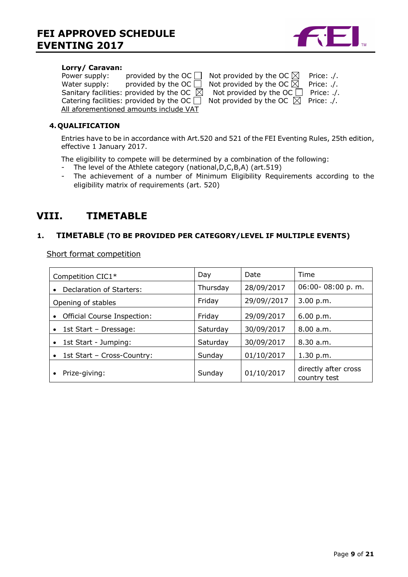

#### **Lorry/ Caravan:**

| Power supply: | provided by the OC                                  | Not provided by the OC $\boxtimes$            | Price: ./. |
|---------------|-----------------------------------------------------|-----------------------------------------------|------------|
| Water supply: | provided by the $OC$ $[$                            | Not provided by the OC $\boxtimes$            | Price: ./. |
|               | Sanitary facilities: provided by the OC $\boxtimes$ | Not provided by the OC $\Box$                 | Price: ./. |
|               | Catering facilities: provided by the OC $\Box$      | Not provided by the OC $\boxtimes$ Price: ./. |            |
|               | All aforementioned amounts include VAT              |                                               |            |

| Not provided by the OC $\boxtimes$ | Price: ./. |
|------------------------------------|------------|
| Not provided by the OC $\boxtimes$ | Price: ./. |
| Not provided by the OC $\Box$      | Price: ./. |
| Not provided by the OC $\boxtimes$ | Price: ./. |

#### **4. QUALIFICATION**

Entries have to be in accordance with Art.520 and 521 of the FEI Eventing Rules, 25th edition, effective 1 January 2017.

The eligibility to compete will be determined by a combination of the following:

- The level of the Athlete category (national,D,C,B,A) (art.519)
- The achievement of a number of Minimum Eligibility Requirements according to the eligibility matrix of requirements (art. 520)

# **VIII. TIMETABLE**

#### **1. TIMETABLE (TO BE PROVIDED PER CATEGORY/LEVEL IF MULTIPLE EVENTS)**

Short format competition

| Competition CIC1*                       | Day      | Date        | Time                                 |
|-----------------------------------------|----------|-------------|--------------------------------------|
| Declaration of Starters:                | Thursday | 28/09/2017  | 06:00-08:00 p.m.                     |
| Opening of stables                      | Friday   | 29/09//2017 | 3.00 p.m.                            |
| Official Course Inspection:             | Friday   | 29/09/2017  | 6.00 p.m.                            |
| 1st Start - Dressage:<br>$\bullet$      | Saturday | 30/09/2017  | 8.00 a.m.                            |
| 1st Start - Jumping:                    | Saturday | 30/09/2017  | 8.30 a.m.                            |
| 1st Start - Cross-Country:<br>$\bullet$ | Sunday   | 01/10/2017  | 1.30 p.m.                            |
| Prize-giving:                           | Sunday   | 01/10/2017  | directly after cross<br>country test |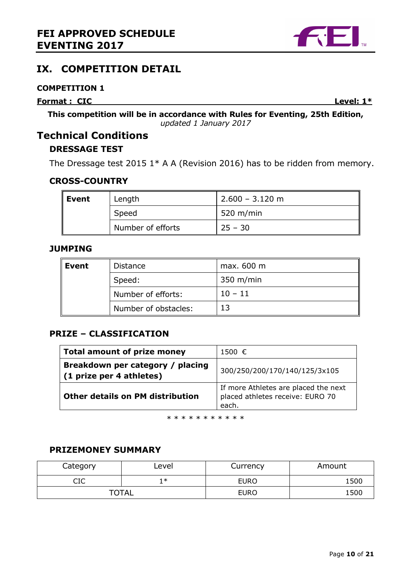

## **COMPETITION 1**

**Format : CIC** Level: 1\*

**This competition will be in accordance with Rules for Eventing, 25th Edition,**  *updated 1 January 2017*

# **Technical Conditions**

# **DRESSAGE TEST**

The Dressage test 2015  $1*$  A A (Revision 2016) has to be ridden from memory.

## **CROSS-COUNTRY**

| Event | Length            | $2.600 - 3.120$ m |
|-------|-------------------|-------------------|
|       | Speed             | 520 m/min         |
|       | Number of efforts | $25 - 30$         |

## **JUMPING**

| ∥ Event | <b>Distance</b>      | max. 600 m |
|---------|----------------------|------------|
|         | Speed:               | 350 m/min  |
|         | Number of efforts:   | $10 - 11$  |
|         | Number of obstacles: |            |

## **PRIZE – CLASSIFICATION**

| <b>Total amount of prize money</b>                              | 1500 €                                                                            |
|-----------------------------------------------------------------|-----------------------------------------------------------------------------------|
| Breakdown per category / placing<br>$(1)$ prize per 4 athletes) | 300/250/200/170/140/125/3x105                                                     |
| <b>Other details on PM distribution</b>                         | If more Athletes are placed the next<br>placed athletes receive: EURO 70<br>each. |

\* \* \* \* \* \* \* \* \* \*

## **PRIZEMONEY SUMMARY**

| Category | Level        | Currency    | Amount |
|----------|--------------|-------------|--------|
| ∩™<br>سد | 1 ≭          | <b>EURO</b> | 1500   |
|          | <b>TOTAL</b> | <b>EURO</b> | 1500   |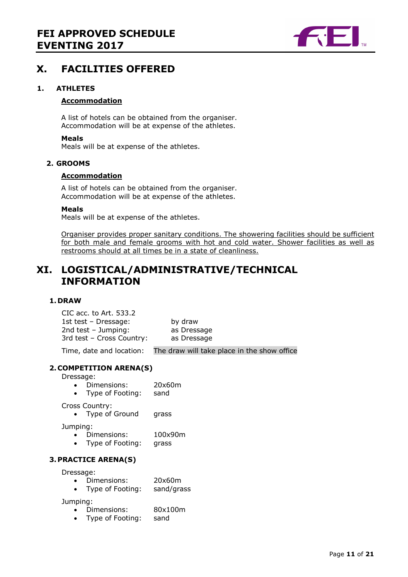

# **X. FACILITIES OFFERED**

#### **1. ATHLETES**

#### **Accommodation**

A list of hotels can be obtained from the organiser. Accommodation will be at expense of the athletes.

#### **Meals**

Meals will be at expense of the athletes.

#### **2. GROOMS**

#### **Accommodation**

A list of hotels can be obtained from the organiser. Accommodation will be at expense of the athletes.

#### **Meals**

Meals will be at expense of the athletes.

Organiser provides proper sanitary conditions. The showering facilities should be sufficient for both male and female grooms with hot and cold water. Shower facilities as well as restrooms should at all times be in a state of cleanliness.

# **XI. LOGISTICAL/ADMINISTRATIVE/TECHNICAL INFORMATION**

#### **1. DRAW**

CIC acc. to Art. 533.2 1st test – Dressage: by draw 2nd test – Jumping: as Dressage 3rd test – Cross Country: as Dressage Time, date and location: The draw will take place in the show office

#### **2. COMPETITION ARENA(S)**

Dressage:

- Dimensions: 20x60m
- Type of Footing: sand

Cross Country:

• Type of Ground grass

Jumping:

- Dimensions: 100x90m
- Type of Footing: grass

#### **3.PRACTICE ARENA(S)**

Dressage:

- Dimensions: 20x60m
- Type of Footing: sand/grass

Jumping:

- Dimensions: 80x100m
- Type of Footing: sand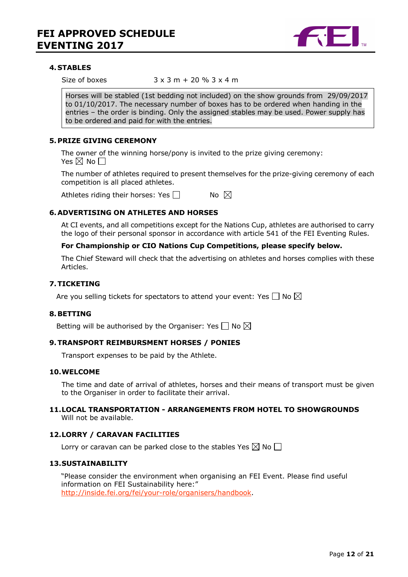

#### **4. STABLES**

Size of boxes  $3 \times 3$  m + 20 %  $3 \times 4$  m

Horses will be stabled (1st bedding not included) on the show grounds from 29/09/2017 to 01/10/2017. The necessary number of boxes has to be ordered when handing in the entries – the order is binding. Only the assigned stables may be used. Power supply has to be ordered and paid for with the entries.

#### **5.PRIZE GIVING CEREMONY**

The owner of the winning horse/pony is invited to the prize giving ceremony: Yes  $\boxtimes$  No  $\Box$ 

The number of athletes required to present themselves for the prize-giving ceremony of each competition is all placed athletes.

Athletes riding their horses: Yes  $\Box$  No  $\boxtimes$ 

#### **6.ADVERTISING ON ATHLETES AND HORSES**

At CI events, and all competitions except for the Nations Cup, athletes are authorised to carry the logo of their personal sponsor in accordance with article 541 of the FEI Eventing Rules.

#### **For Championship or CIO Nations Cup Competitions, please specify below.**

The Chief Steward will check that the advertising on athletes and horses complies with these Articles.

#### **7.TICKETING**

Are you selling tickets for spectators to attend your event: Yes  $\Box$  No  $\boxtimes$ 

#### **8.BETTING**

Betting will be authorised by the Organiser: Yes  $\Box$  No  $\boxtimes$ 

#### **9.TRANSPORT REIMBURSMENT HORSES / PONIES**

Transport expenses to be paid by the Athlete.

#### **10.WELCOME**

The time and date of arrival of athletes, horses and their means of transport must be given to the Organiser in order to facilitate their arrival.

#### **11.LOCAL TRANSPORTATION - ARRANGEMENTS FROM HOTEL TO SHOWGROUNDS**  Will not be available.

#### **12.LORRY / CARAVAN FACILITIES**

Lorry or caravan can be parked close to the stables Yes  $\boxtimes$  No  $\Box$ 

#### **13.SUSTAINABILITY**

"Please consider the environment when organising an FEI Event. Please find useful information on FEI Sustainability here:" http://inside.fei.org/fei/your-role/organisers/handbook.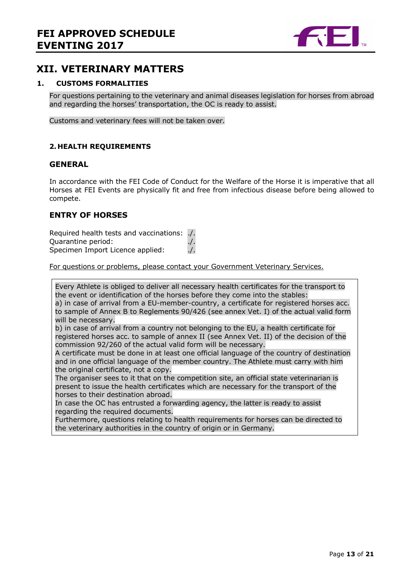

## **XII. VETERINARY MATTERS**

#### **1. CUSTOMS FORMALITIES**

For questions pertaining to the veterinary and animal diseases legislation for horses from abroad and regarding the horses' transportation, the OC is ready to assist.

Customs and veterinary fees will not be taken over.

#### **2. HEALTH REQUIREMENTS**

#### **GENERAL**

In accordance with the FEI Code of Conduct for the Welfare of the Horse it is imperative that all Horses at FEI Events are physically fit and free from infectious disease before being allowed to compete.

#### **ENTRY OF HORSES**

Required health tests and vaccinations: ./. Quarantine period: ./. Specimen Import Licence applied: ./.

For questions or problems, please contact your Government Veterinary Services.

Every Athlete is obliged to deliver all necessary health certificates for the transport to the event or identification of the horses before they come into the stables: a) in case of arrival from a EU-member-country, a certificate for registered horses acc. to sample of Annex B to Reglements 90/426 (see annex Vet. I) of the actual valid form will be necessary. b) in case of arrival from a country not belonging to the EU, a health certificate for registered horses acc. to sample of annex II (see Annex Vet. II) of the decision of the commission 92/260 of the actual valid form will be necessary. A certificate must be done in at least one official language of the country of destination and in one official language of the member country. The Athlete must carry with him the original certificate, not a copy. The organiser sees to it that on the competition site, an official state veterinarian is present to issue the health certificates which are necessary for the transport of the horses to their destination abroad.

In case the OC has entrusted a forwarding agency, the latter is ready to assist regarding the required documents.

Furthermore, questions relating to health requirements for horses can be directed to the veterinary authorities in the country of origin or in Germany.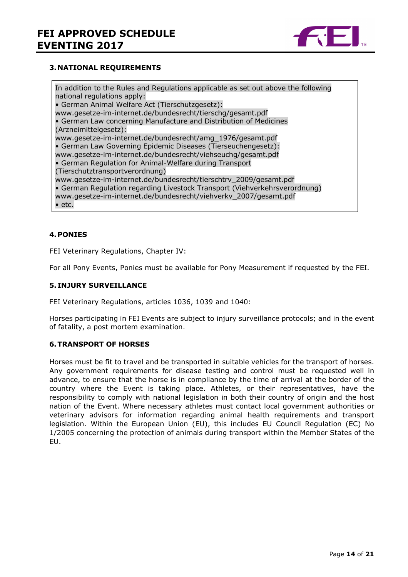

#### **3. NATIONAL REQUIREMENTS**

In addition to the Rules and Regulations applicable as set out above the following national regulations apply: • German Animal Welfare Act (Tierschutzgesetz): www.gesetze-im-internet.de/bundesrecht/tierschg/gesamt.pdf • German Law concerning Manufacture and Distribution of Medicines (Arzneimittelgesetz): www.gesetze-im-internet.de/bundesrecht/amg\_1976/gesamt.pdf • German Law Governing Epidemic Diseases (Tierseuchengesetz): www.gesetze-im-internet.de/bundesrecht/viehseuchg/gesamt.pdf • German Regulation for Animal-Welfare during Transport (Tierschutztransportverordnung) www.gesetze-im-internet.de/bundesrecht/tierschtrv\_2009/gesamt.pdf • German Regulation regarding Livestock Transport (Viehverkehrsverordnung) www.gesetze-im-internet.de/bundesrecht/viehverkv\_2007/gesamt.pdf • etc.

#### **4.PONIES**

FEI Veterinary Regulations, Chapter IV:

For all Pony Events, Ponies must be available for Pony Measurement if requested by the FEI.

#### **5. INJURY SURVEILLANCE**

FEI Veterinary Regulations, articles 1036, 1039 and 1040:

Horses participating in FEI Events are subject to injury surveillance protocols; and in the event of fatality, a post mortem examination.

#### **6.TRANSPORT OF HORSES**

Horses must be fit to travel and be transported in suitable vehicles for the transport of horses. Any government requirements for disease testing and control must be requested well in advance, to ensure that the horse is in compliance by the time of arrival at the border of the country where the Event is taking place. Athletes, or their representatives, have the responsibility to comply with national legislation in both their country of origin and the host nation of the Event. Where necessary athletes must contact local government authorities or veterinary advisors for information regarding animal health requirements and transport legislation. Within the European Union (EU), this includes EU Council Regulation (EC) No 1/2005 concerning the protection of animals during transport within the Member States of the EU.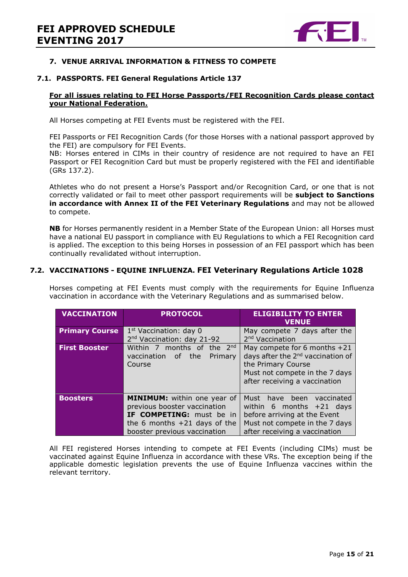

#### **7. VENUE ARRIVAL INFORMATION & FITNESS TO COMPETE**

#### **7.1. PASSPORTS. FEI General Regulations Article 137**

#### **For all issues relating to FEI Horse Passports/FEI Recognition Cards please contact your National Federation.**

All Horses competing at FEI Events must be registered with the FEI.

FEI Passports or FEI Recognition Cards (for those Horses with a national passport approved by the FEI) are compulsory for FEI Events.

NB: Horses entered in CIMs in their country of residence are not required to have an FEI Passport or FEI Recognition Card but must be properly registered with the FEI and identifiable (GRs 137.2).

Athletes who do not present a Horse's Passport and/or Recognition Card, or one that is not correctly validated or fail to meet other passport requirements will be **subject to Sanctions in accordance with Annex II of the FEI Veterinary Regulations** and may not be allowed to compete.

**NB** for Horses permanently resident in a Member State of the European Union: all Horses must have a national EU passport in compliance with EU Regulations to which a FEI Recognition card is applied. The exception to this being Horses in possession of an FEI passport which has been continually revalidated without interruption.

#### **7.2. VACCINATIONS - EQUINE INFLUENZA. FEI Veterinary Regulations Article 1028**

Horses competing at FEI Events must comply with the requirements for Equine Influenza vaccination in accordance with the Veterinary Regulations and as summarised below.

| <b>VACCINATION</b>    | <b>PROTOCOL</b>                                                                                                                                                         | <b>ELIGIBILITY TO ENTER</b><br><b>VENUE</b>                                                                                                                              |
|-----------------------|-------------------------------------------------------------------------------------------------------------------------------------------------------------------------|--------------------------------------------------------------------------------------------------------------------------------------------------------------------------|
| <b>Primary Course</b> | $1st$ Vaccination: day 0<br>2 <sup>nd</sup> Vaccination: day 21-92                                                                                                      | May compete 7 days after the<br>2 <sup>nd</sup> Vaccination                                                                                                              |
| <b>First Booster</b>  | Within 7 months of<br>the 2 <sup>nd</sup><br>vaccination<br>of the<br>Primary<br>Course                                                                                 | May compete for 6 months $+21$<br>days after the 2 <sup>nd</sup> vaccination of<br>the Primary Course<br>Must not compete in the 7 days<br>after receiving a vaccination |
| <b>Boosters</b>       | <b>MINIMUM:</b> within one year of<br>previous booster vaccination<br><b>IF COMPETING:</b> must be in<br>the 6 months $+21$ days of the<br>booster previous vaccination | Must have been<br>vaccinated<br>within 6 months $+21$ days<br>before arriving at the Event<br>Must not compete in the 7 days<br>after receiving a vaccination            |

All FEI registered Horses intending to compete at FEI Events (including CIMs) must be vaccinated against Equine Influenza in accordance with these VRs. The exception being if the applicable domestic legislation prevents the use of Equine Influenza vaccines within the relevant territory.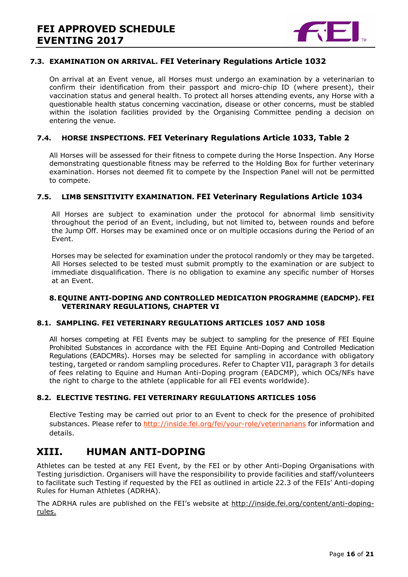

#### **7.3. EXAMINATION ON ARRIVAL. FEI Veterinary Regulations Article 1032**

On arrival at an Event venue, all Horses must undergo an examination by a veterinarian to confirm their identification from their passport and micro-chip ID (where present), their vaccination status and general health. To protect all horses attending events, any Horse with a questionable health status concerning vaccination, disease or other concerns, must be stabled within the isolation facilities provided by the Organising Committee pending a decision on entering the venue.

#### **7.4. HORSE INSPECTIONS. FEI Veterinary Regulations Article 1033, Table 2**

All Horses will be assessed for their fitness to compete during the Horse Inspection. Any Horse demonstrating questionable fitness may be referred to the Holding Box for further veterinary examination. Horses not deemed fit to compete by the Inspection Panel will not be permitted to compete.

#### **7.5. LIMB SENSITIVITY EXAMINATION. FEI Veterinary Regulations Article 1034**

All Horses are subject to examination under the protocol for abnormal limb sensitivity throughout the period of an Event, including, but not limited to, between rounds and before the Jump Off. Horses may be examined once or on multiple occasions during the Period of an Event.

Horses may be selected for examination under the protocol randomly or they may be targeted. All Horses selected to be tested must submit promptly to the examination or are subject to immediate disqualification. There is no obligation to examine any specific number of Horses at an Event.

#### **8.EQUINE ANTI-DOPING AND CONTROLLED MEDICATION PROGRAMME (EADCMP). FEI VETERINARY REGULATIONS, CHAPTER VI**

#### **8.1. SAMPLING. FEI VETERINARY REGULATIONS ARTICLES 1057 AND 1058**

All horses competing at FEI Events may be subject to sampling for the presence of FEI Equine Prohibited Substances in accordance with the FEI Equine Anti-Doping and Controlled Medication Regulations (EADCMRs). Horses may be selected for sampling in accordance with obligatory testing, targeted or random sampling procedures. Refer to Chapter VII, paragraph 3 for details of fees relating to Equine and Human Anti-Doping program (EADCMP), which OCs/NFs have the right to charge to the athlete (applicable for all FEI events worldwide).

#### **8.2. ELECTIVE TESTING. FEI VETERINARY REGULATIONS ARTICLES 1056**

Elective Testing may be carried out prior to an Event to check for the presence of prohibited substances. Please refer to http://inside.fei.org/fei/your-role/veterinarians for information and details.

## **XIII. HUMAN ANTI-DOPING**

Athletes can be tested at any FEI Event, by the FEI or by other Anti-Doping Organisations with Testing jurisdiction. Organisers will have the responsibility to provide facilities and staff/volunteers to facilitate such Testing if requested by the FEI as outlined in article 22.3 of the FEIs' Anti-doping Rules for Human Athletes (ADRHA).

The ADRHA rules are published on the FEI's website at http://inside.fei.org/content/anti-dopingrules.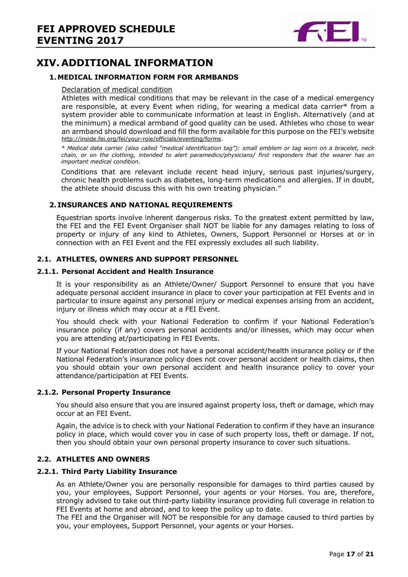

# **XIV. ADDITIONAL INFORMATION**

#### **1.MEDICAL INFORMATION FORM FOR ARMBANDS**

#### Declaration of medical condition

Athletes with medical conditions that may be relevant in the case of a medical emergency are responsible, at every Event when riding, for wearing a medical data carrier\* from a system provider able to communicate information at least in English. Alternatively (and at the minimum) a medical armband of good quality can be used. Athletes who chose to wear an armband should download and fill the form available for this purpose on the FEI's website http://inside.fei.org/fei/your-role/officials/eventing/forms.

*\* Medical data carrier (also called "medical identification tag"): small emblem or tag worn on a bracelet, neck chain, or on the clothing, intended to alert paramedics/physicians/ first responders that the wearer has an important medical condition.* 

Conditions that are relevant include recent head injury, serious past injuries/surgery, chronic health problems such as diabetes, long-term medications and allergies. If in doubt, the athlete should discuss this with his own treating physician."

#### **2. INSURANCES AND NATIONAL REQUIREMENTS**

Equestrian sports involve inherent dangerous risks. To the greatest extent permitted by law, the FEI and the FEI Event Organiser shall NOT be liable for any damages relating to loss of property or injury of any kind to Athletes, Owners, Support Personnel or Horses at or in connection with an FEI Event and the FEI expressly excludes all such liability.

#### **2.1. ATHLETES, OWNERS AND SUPPORT PERSONNEL**

#### **2.1.1. Personal Accident and Health Insurance**

It is your responsibility as an Athlete/Owner/ Support Personnel to ensure that you have adequate personal accident insurance in place to cover your participation at FEI Events and in particular to insure against any personal injury or medical expenses arising from an accident, injury or illness which may occur at a FEI Event.

You should check with your National Federation to confirm if your National Federation's insurance policy (if any) covers personal accidents and/or illnesses, which may occur when you are attending at/participating in FEI Events.

If your National Federation does not have a personal accident/health insurance policy or if the National Federation's insurance policy does not cover personal accident or health claims, then you should obtain your own personal accident and health insurance policy to cover your attendance/participation at FEI Events.

#### **2.1.2. Personal Property Insurance**

You should also ensure that you are insured against property loss, theft or damage, which may occur at an FEI Event.

Again, the advice is to check with your National Federation to confirm if they have an insurance policy in place, which would cover you in case of such property loss, theft or damage. If not, then you should obtain your own personal property insurance to cover such situations.

#### **2.2. ATHLETES AND OWNERS**

#### **2.2.1. Third Party Liability Insurance**

As an Athlete/Owner you are personally responsible for damages to third parties caused by you, your employees, Support Personnel, your agents or your Horses. You are, therefore, strongly advised to take out third-party liability insurance providing full coverage in relation to FEI Events at home and abroad, and to keep the policy up to date.

The FEI and the Organiser will NOT be responsible for any damage caused to third parties by you, your employees, Support Personnel, your agents or your Horses.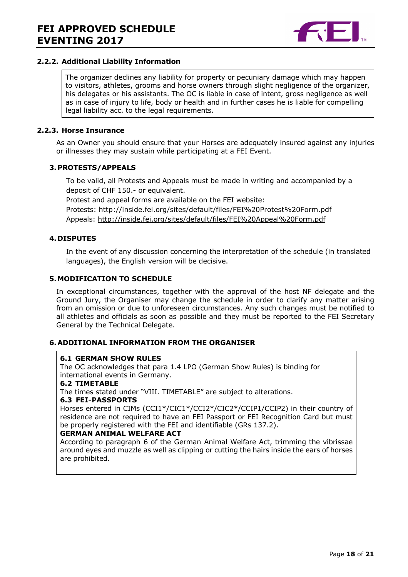

#### **2.2.2. Additional Liability Information**

The organizer declines any liability for property or pecuniary damage which may happen to visitors, athletes, grooms and horse owners through slight negligence of the organizer, his delegates or his assistants. The OC is liable in case of intent, gross negligence as well as in case of injury to life, body or health and in further cases he is liable for compelling legal liability acc. to the legal requirements.

#### **2.2.3. Horse Insurance**

As an Owner you should ensure that your Horses are adequately insured against any injuries or illnesses they may sustain while participating at a FEI Event.

#### **3.PROTESTS/APPEALS**

To be valid, all Protests and Appeals must be made in writing and accompanied by a deposit of CHF 150.- or equivalent. Protest and appeal forms are available on the FEI website: Protests: http://inside.fei.org/sites/default/files/FEI%20Protest%20Form.pdf Appeals: http://inside.fei.org/sites/default/files/FEI%20Appeal%20Form.pdf

#### **4. DISPUTES**

In the event of any discussion concerning the interpretation of the schedule (in translated languages), the English version will be decisive.

#### **5.MODIFICATION TO SCHEDULE**

In exceptional circumstances, together with the approval of the host NF delegate and the Ground Jury, the Organiser may change the schedule in order to clarify any matter arising from an omission or due to unforeseen circumstances. Any such changes must be notified to all athletes and officials as soon as possible and they must be reported to the FEI Secretary General by the Technical Delegate.

#### **6.ADDITIONAL INFORMATION FROM THE ORGANISER**

#### **6.1 GERMAN SHOW RULES**

The OC acknowledges that para 1.4 LPO (German Show Rules) is binding for international events in Germany.

#### **6.2 TIMETABLE**

The times stated under "VIII. TIMETABLE" are subject to alterations.

#### **6.3 FEI-PASSPORTS**

Horses entered in CIMs (CCI1\*/CIC1\*/CCI2\*/CIC2\*/CCIP1/CCIP2) in their country of residence are not required to have an FEI Passport or FEI Recognition Card but must be properly registered with the FEI and identifiable (GRs 137.2).

#### **GERMAN ANIMAL WELFARE ACT**

According to paragraph 6 of the German Animal Welfare Act, trimming the vibrissae around eyes and muzzle as well as clipping or cutting the hairs inside the ears of horses are prohibited.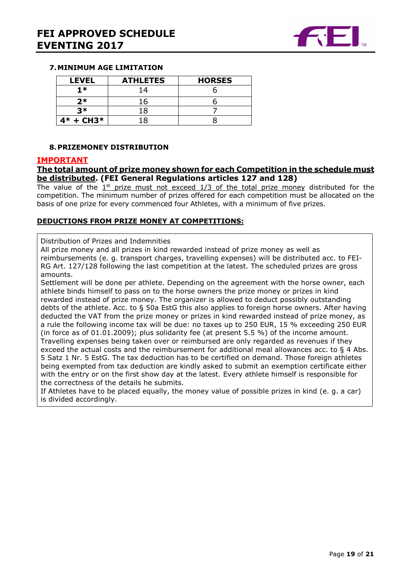

#### **7.MINIMUM AGE LIMITATION**

| <b>LEVEL</b> | <b>ATHLETES</b> | <b>HORSES</b> |
|--------------|-----------------|---------------|
| $1*$         | 14              |               |
| $2*$         | 16              |               |
| マ*           | 18              |               |
| $4* + CH3*$  | -8              |               |

#### **8.PRIZEMONEY DISTRIBUTION**

#### **IMPORTANT**

#### **The total amount of prize money shown for each Competition in the schedule must be distributed. (FEI General Regulations articles 127 and 128)**

The value of the  $1<sup>st</sup>$  prize must not exceed  $1/3$  of the total prize money distributed for the competition. The minimum number of prizes offered for each competition must be allocated on the basis of one prize for every commenced four Athletes, with a minimum of five prizes.

#### **DEDUCTIONS FROM PRIZE MONEY AT COMPETITIONS:**

#### Distribution of Prizes and Indemnities

All prize money and all prizes in kind rewarded instead of prize money as well as reimbursements (e. g. transport charges, travelling expenses) will be distributed acc. to FEI-RG Art. 127/128 following the last competition at the latest. The scheduled prizes are gross amounts.

Settlement will be done per athlete. Depending on the agreement with the horse owner, each athlete binds himself to pass on to the horse owners the prize money or prizes in kind rewarded instead of prize money. The organizer is allowed to deduct possibly outstanding debts of the athlete. Acc. to § 50a EstG this also applies to foreign horse owners. After having deducted the VAT from the prize money or prizes in kind rewarded instead of prize money, as a rule the following income tax will be due: no taxes up to 250 EUR, 15 % exceeding 250 EUR (in force as of 01.01.2009); plus solidarity fee (at present 5.5 %) of the income amount. Travelling expenses being taken over or reimbursed are only regarded as revenues if they exceed the actual costs and the reimbursement for additional meal allowances acc. to § 4 Abs. 5 Satz 1 Nr. 5 EstG. The tax deduction has to be certified on demand. Those foreign athletes being exempted from tax deduction are kindly asked to submit an exemption certificate either with the entry or on the first show day at the latest. Every athlete himself is responsible for the correctness of the details he submits.

If Athletes have to be placed equally, the money value of possible prizes in kind (e. g. a car) is divided accordingly.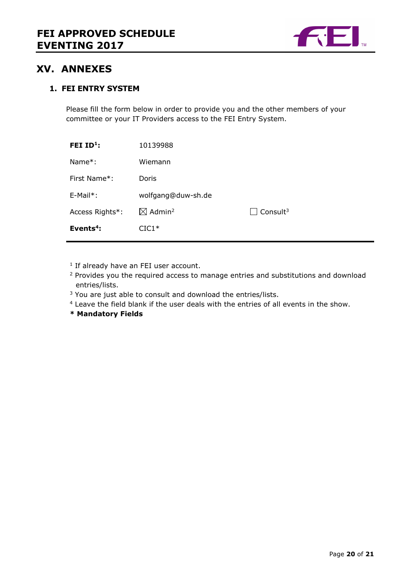

## **XV. ANNEXES**

## **1. FEI ENTRY SYSTEM**

Please fill the form below in order to provide you and the other members of your committee or your IT Providers access to the FEI Entry System.

| FEI ID <sup>1</sup> : | 10139988                       |                             |
|-----------------------|--------------------------------|-----------------------------|
| Name $*$ :            | Wiemann                        |                             |
| First Name*:          | Doris                          |                             |
| $E-Mail*$ :           | wolfgang@duw-sh.de             |                             |
| Access Rights*:       | $\boxtimes$ Admin <sup>2</sup> | $\Box$ Consult <sup>3</sup> |
| Events $4$ :          | $CIC1*$                        |                             |

<sup>1</sup> If already have an FEI user account.

<sup>2</sup> Provides you the required access to manage entries and substitutions and download entries/lists.

<sup>3</sup> You are just able to consult and download the entries/lists.

<sup>4</sup> Leave the field blank if the user deals with the entries of all events in the show.

**\* Mandatory Fields**